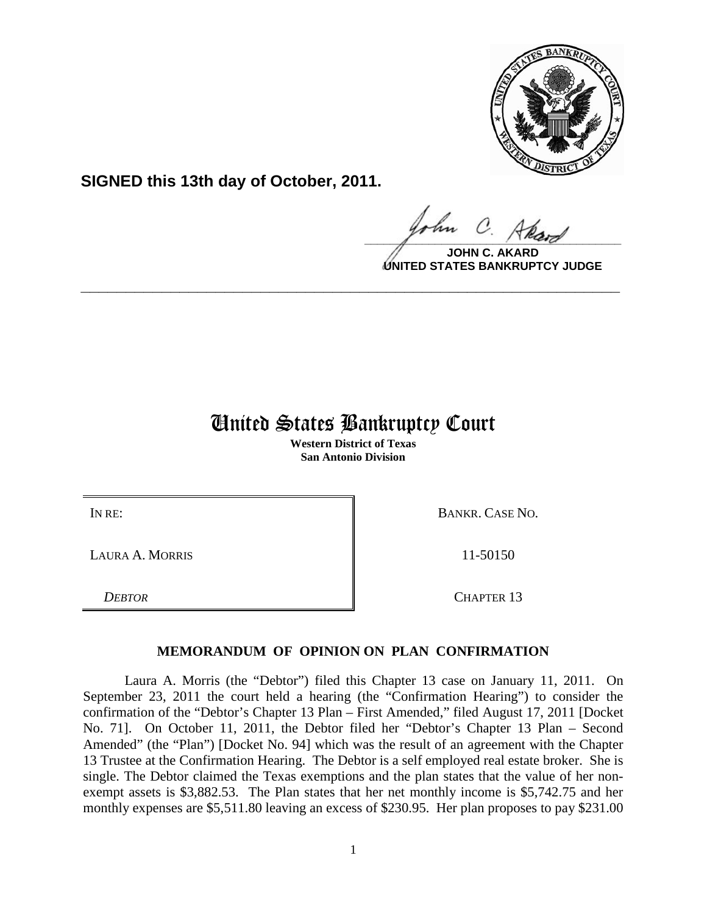

**SIGNED this 13th day of October, 2011.**

 $\Omega$  $\frac{1}{\sqrt{1-\frac{1}{2}}\sqrt{1-\frac{1}{2}}\sqrt{1-\frac{1}{2}}\sqrt{1-\frac{1}{2}}\sqrt{1-\frac{1}{2}}\sqrt{1-\frac{1}{2}}\sqrt{1-\frac{1}{2}}\sqrt{1-\frac{1}{2}}\sqrt{1-\frac{1}{2}}\sqrt{1-\frac{1}{2}}\sqrt{1-\frac{1}{2}}\sqrt{1-\frac{1}{2}}\sqrt{1-\frac{1}{2}}\sqrt{1-\frac{1}{2}}\sqrt{1-\frac{1}{2}}\sqrt{1-\frac{1}{2}}\sqrt{1-\frac{1}{2}}\sqrt{1-\frac{1}{2}}\sqrt{1-\frac{1}{2}}\sqrt{1-\frac$ 

**JOHN C. AKARD UNITED STATES BANKRUPTCY JUDGE**

## United States Bankruptcy Court

**\_\_\_\_\_\_\_\_\_\_\_\_\_\_\_\_\_\_\_\_\_\_\_\_\_\_\_\_\_\_\_\_\_\_\_\_\_\_\_\_\_\_\_\_\_\_\_\_\_\_\_\_\_\_\_\_\_\_\_\_**

**Western District of Texas San Antonio Division**

LAURA A. MORRIS **11-50150** 11-50150

IN RE: BANKR. CASE NO.

*DEBTOR* CHAPTER 13

## **MEMORANDUM OF OPINION ON PLAN CONFIRMATION**

Laura A. Morris (the "Debtor") filed this Chapter 13 case on January 11, 2011. On September 23, 2011 the court held a hearing (the "Confirmation Hearing") to consider the confirmation of the "Debtor's Chapter 13 Plan – First Amended," filed August 17, 2011 [Docket No. 71]. On October 11, 2011, the Debtor filed her "Debtor's Chapter 13 Plan – Second Amended" (the "Plan") [Docket No. 94] which was the result of an agreement with the Chapter 13 Trustee at the Confirmation Hearing. The Debtor is a self employed real estate broker. She is single. The Debtor claimed the Texas exemptions and the plan states that the value of her nonexempt assets is \$3,882.53. The Plan states that her net monthly income is \$5,742.75 and her monthly expenses are \$5,511.80 leaving an excess of \$230.95. Her plan proposes to pay \$231.00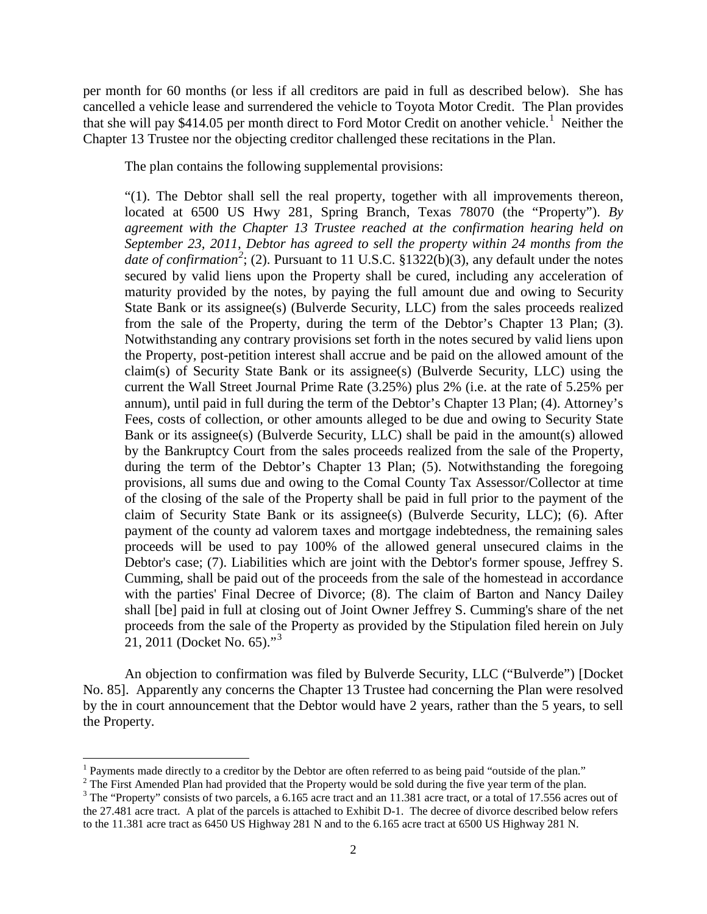per month for 60 months (or less if all creditors are paid in full as described below). She has cancelled a vehicle lease and surrendered the vehicle to Toyota Motor Credit. The Plan provides that she will pay \$4[1](#page-1-0)4.05 per month direct to Ford Motor Credit on another vehicle.<sup>1</sup> Neither the Chapter 13 Trustee nor the objecting creditor challenged these recitations in the Plan.

The plan contains the following supplemental provisions:

"(1). The Debtor shall sell the real property, together with all improvements thereon, located at 6500 US Hwy 281, Spring Branch, Texas 78070 (the "Property"). *By agreement with the Chapter 13 Trustee reached at the confirmation hearing held on September 23, 2011, Debtor has agreed to sell the property within 24 months from the date of confirmation*<sup>[2](#page-1-1)</sup>; (2). Pursuant to 11 U.S.C. §1322(b)(3), any default under the notes secured by valid liens upon the Property shall be cured, including any acceleration of maturity provided by the notes, by paying the full amount due and owing to Security State Bank or its assignee(s) (Bulverde Security, LLC) from the sales proceeds realized from the sale of the Property, during the term of the Debtor's Chapter 13 Plan; (3). Notwithstanding any contrary provisions set forth in the notes secured by valid liens upon the Property, post-petition interest shall accrue and be paid on the allowed amount of the claim(s) of Security State Bank or its assignee(s) (Bulverde Security, LLC) using the current the Wall Street Journal Prime Rate (3.25%) plus 2% (i.e. at the rate of 5.25% per annum), until paid in full during the term of the Debtor's Chapter 13 Plan; (4). Attorney's Fees, costs of collection, or other amounts alleged to be due and owing to Security State Bank or its assignee(s) (Bulverde Security, LLC) shall be paid in the amount(s) allowed by the Bankruptcy Court from the sales proceeds realized from the sale of the Property, during the term of the Debtor's Chapter 13 Plan; (5). Notwithstanding the foregoing provisions, all sums due and owing to the Comal County Tax Assessor/Collector at time of the closing of the sale of the Property shall be paid in full prior to the payment of the claim of Security State Bank or its assignee(s) (Bulverde Security, LLC); (6). After payment of the county ad valorem taxes and mortgage indebtedness, the remaining sales proceeds will be used to pay 100% of the allowed general unsecured claims in the Debtor's case; (7). Liabilities which are joint with the Debtor's former spouse, Jeffrey S. Cumming, shall be paid out of the proceeds from the sale of the homestead in accordance with the parties' Final Decree of Divorce; (8). The claim of Barton and Nancy Dailey shall [be] paid in full at closing out of Joint Owner Jeffrey S. Cumming's share of the net proceeds from the sale of the Property as provided by the Stipulation filed herein on July 21, 2011 (Docket No. 65)."<sup>[3](#page-1-2)</sup>

An objection to confirmation was filed by Bulverde Security, LLC ("Bulverde") [Docket No. 85]. Apparently any concerns the Chapter 13 Trustee had concerning the Plan were resolved by the in court announcement that the Debtor would have 2 years, rather than the 5 years, to sell the Property.

ı

<span id="page-1-0"></span> $<sup>1</sup>$  Payments made directly to a creditor by the Debtor are often referred to as being paid "outside of the plan."</sup>

<span id="page-1-1"></span><sup>&</sup>lt;sup>2</sup> The First Amended Plan had provided that the Property would be sold during the five year term of the plan.<br><sup>3</sup> The "Property" consists of two parcels, a 6.165 acre tract and an 11.381 acre tract, or a total of 17.556

<span id="page-1-2"></span>the 27.481 acre tract. A plat of the parcels is attached to Exhibit D-1. The decree of divorce described below refers to the 11.381 acre tract as 6450 US Highway 281 N and to the 6.165 acre tract at 6500 US Highway 281 N.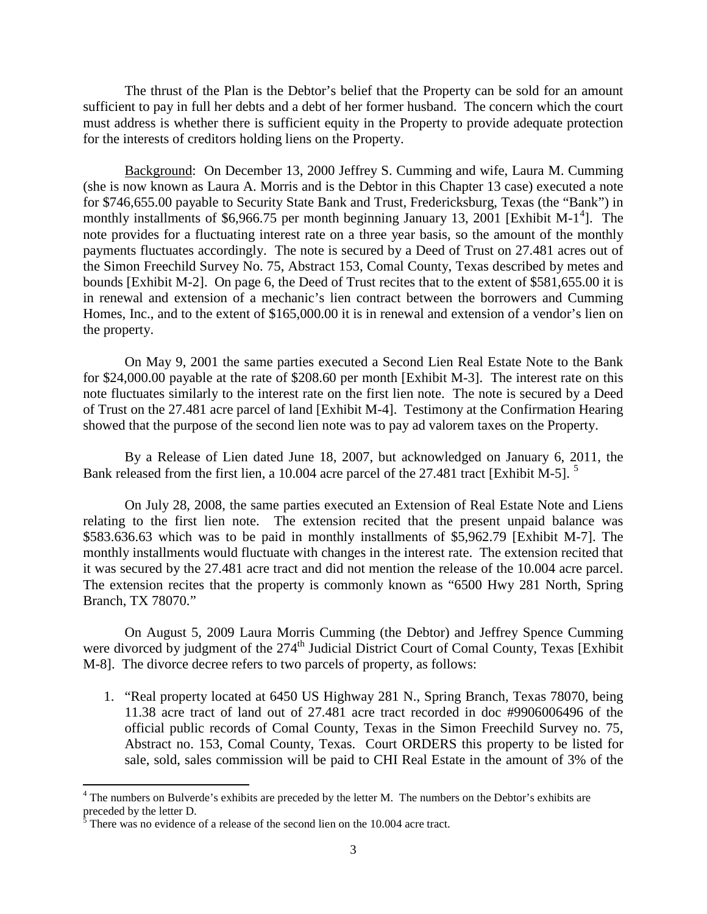The thrust of the Plan is the Debtor's belief that the Property can be sold for an amount sufficient to pay in full her debts and a debt of her former husband. The concern which the court must address is whether there is sufficient equity in the Property to provide adequate protection for the interests of creditors holding liens on the Property.

Background: On December 13, 2000 Jeffrey S. Cumming and wife, Laura M. Cumming (she is now known as Laura A. Morris and is the Debtor in this Chapter 13 case) executed a note for \$746,655.00 payable to Security State Bank and Trust, Fredericksburg, Texas (the "Bank") in monthly installments of \$6,966.75 per month beginning January 13, 2001 [Exhibit M-1<sup>[4](#page-2-0)</sup>]. The note provides for a fluctuating interest rate on a three year basis, so the amount of the monthly payments fluctuates accordingly. The note is secured by a Deed of Trust on 27.481 acres out of the Simon Freechild Survey No. 75, Abstract 153, Comal County, Texas described by metes and bounds [Exhibit M-2]. On page 6, the Deed of Trust recites that to the extent of \$581,655.00 it is in renewal and extension of a mechanic's lien contract between the borrowers and Cumming Homes, Inc., and to the extent of \$165,000.00 it is in renewal and extension of a vendor's lien on the property.

On May 9, 2001 the same parties executed a Second Lien Real Estate Note to the Bank for \$24,000.00 payable at the rate of \$208.60 per month [Exhibit M-3]. The interest rate on this note fluctuates similarly to the interest rate on the first lien note. The note is secured by a Deed of Trust on the 27.481 acre parcel of land [Exhibit M-4]. Testimony at the Confirmation Hearing showed that the purpose of the second lien note was to pay ad valorem taxes on the Property.

By a Release of Lien dated June 18, 2007, but acknowledged on January 6, 2011, the Bank released from the first lien, a 10.004 acre parcel of the 27.481 tract [Exhibit M-[5](#page-2-1)].<sup>5</sup>

On July 28, 2008, the same parties executed an Extension of Real Estate Note and Liens relating to the first lien note. The extension recited that the present unpaid balance was \$583.636.63 which was to be paid in monthly installments of \$5,962.79 [Exhibit M-7]. The monthly installments would fluctuate with changes in the interest rate. The extension recited that it was secured by the 27.481 acre tract and did not mention the release of the 10.004 acre parcel. The extension recites that the property is commonly known as "6500 Hwy 281 North, Spring Branch, TX 78070."

On August 5, 2009 Laura Morris Cumming (the Debtor) and Jeffrey Spence Cumming were divorced by judgment of the 274<sup>th</sup> Judicial District Court of Comal County, Texas [Exhibit] M-8]. The divorce decree refers to two parcels of property, as follows:

1. "Real property located at 6450 US Highway 281 N., Spring Branch, Texas 78070, being 11.38 acre tract of land out of 27.481 acre tract recorded in doc #9906006496 of the official public records of Comal County, Texas in the Simon Freechild Survey no. 75, Abstract no. 153, Comal County, Texas. Court ORDERS this property to be listed for sale, sold, sales commission will be paid to CHI Real Estate in the amount of 3% of the

 $\overline{\phantom{0}}$ 

<span id="page-2-0"></span><sup>4</sup> The numbers on Bulverde's exhibits are preceded by the letter M. The numbers on the Debtor's exhibits are preceded by the letter D.

<span id="page-2-1"></span> $5$  There was no evidence of a release of the second lien on the 10.004 acre tract.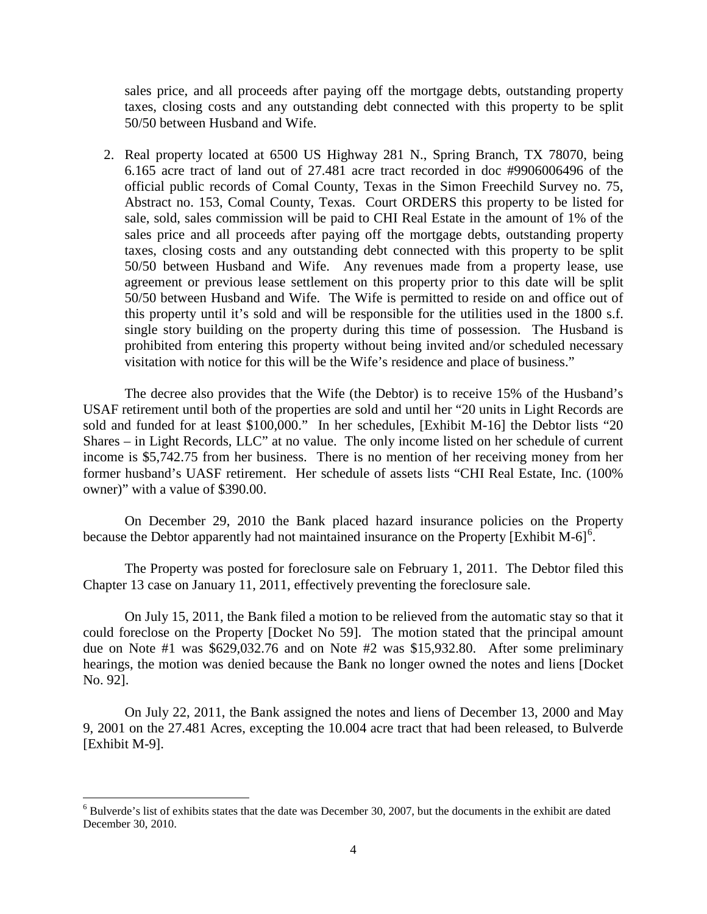sales price, and all proceeds after paying off the mortgage debts, outstanding property taxes, closing costs and any outstanding debt connected with this property to be split 50/50 between Husband and Wife.

2. Real property located at 6500 US Highway 281 N., Spring Branch, TX 78070, being 6.165 acre tract of land out of 27.481 acre tract recorded in doc #9906006496 of the official public records of Comal County, Texas in the Simon Freechild Survey no. 75, Abstract no. 153, Comal County, Texas. Court ORDERS this property to be listed for sale, sold, sales commission will be paid to CHI Real Estate in the amount of 1% of the sales price and all proceeds after paying off the mortgage debts, outstanding property taxes, closing costs and any outstanding debt connected with this property to be split 50/50 between Husband and Wife. Any revenues made from a property lease, use agreement or previous lease settlement on this property prior to this date will be split 50/50 between Husband and Wife. The Wife is permitted to reside on and office out of this property until it's sold and will be responsible for the utilities used in the 1800 s.f. single story building on the property during this time of possession. The Husband is prohibited from entering this property without being invited and/or scheduled necessary visitation with notice for this will be the Wife's residence and place of business."

The decree also provides that the Wife (the Debtor) is to receive 15% of the Husband's USAF retirement until both of the properties are sold and until her "20 units in Light Records are sold and funded for at least \$100,000." In her schedules, [Exhibit M-16] the Debtor lists "20 Shares – in Light Records, LLC" at no value. The only income listed on her schedule of current income is \$5,742.75 from her business. There is no mention of her receiving money from her former husband's UASF retirement. Her schedule of assets lists "CHI Real Estate, Inc. (100% owner)" with a value of \$390.00.

On December 29, 2010 the Bank placed hazard insurance policies on the Property because the Debtor apparently had not maintained insurance on the Property [Exhibit M-[6](#page-3-0)]<sup>6</sup>.

The Property was posted for foreclosure sale on February 1, 2011. The Debtor filed this Chapter 13 case on January 11, 2011, effectively preventing the foreclosure sale.

On July 15, 2011, the Bank filed a motion to be relieved from the automatic stay so that it could foreclose on the Property [Docket No 59]. The motion stated that the principal amount due on Note #1 was \$629,032.76 and on Note #2 was \$15,932.80. After some preliminary hearings, the motion was denied because the Bank no longer owned the notes and liens [Docket No. 92].

On July 22, 2011, the Bank assigned the notes and liens of December 13, 2000 and May 9, 2001 on the 27.481 Acres, excepting the 10.004 acre tract that had been released, to Bulverde [Exhibit M-9].

ı

<span id="page-3-0"></span> $6$  Bulverde's list of exhibits states that the date was December 30, 2007, but the documents in the exhibit are dated December 30, 2010.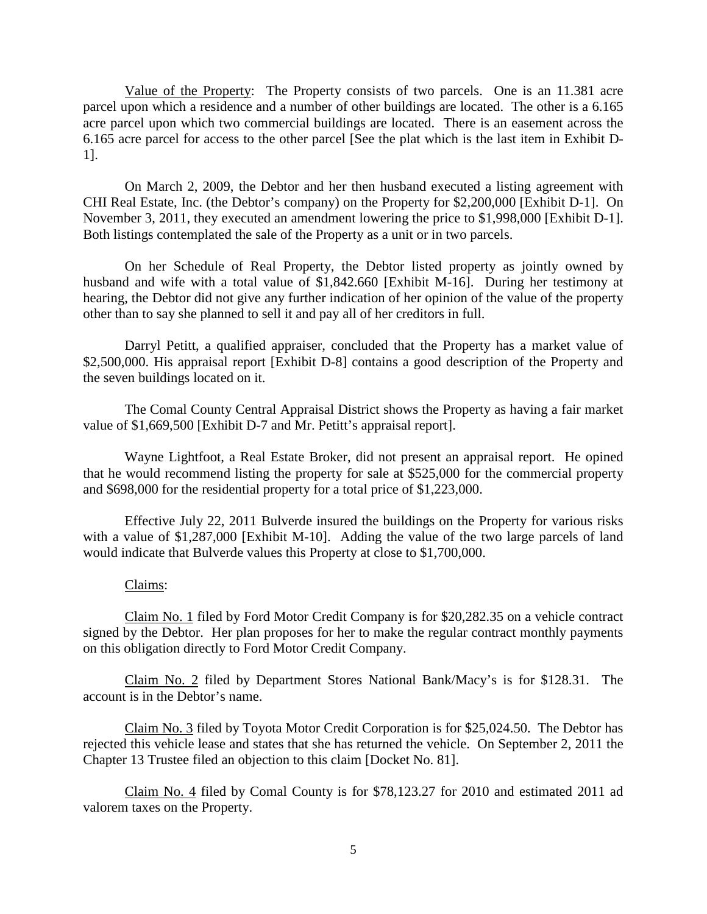Value of the Property: The Property consists of two parcels. One is an 11.381 acre parcel upon which a residence and a number of other buildings are located. The other is a 6.165 acre parcel upon which two commercial buildings are located. There is an easement across the 6.165 acre parcel for access to the other parcel [See the plat which is the last item in Exhibit D-1].

On March 2, 2009, the Debtor and her then husband executed a listing agreement with CHI Real Estate, Inc. (the Debtor's company) on the Property for \$2,200,000 [Exhibit D-1]. On November 3, 2011, they executed an amendment lowering the price to \$1,998,000 [Exhibit D-1]. Both listings contemplated the sale of the Property as a unit or in two parcels.

On her Schedule of Real Property, the Debtor listed property as jointly owned by husband and wife with a total value of \$1,842.660 [Exhibit M-16]. During her testimony at hearing, the Debtor did not give any further indication of her opinion of the value of the property other than to say she planned to sell it and pay all of her creditors in full.

Darryl Petitt, a qualified appraiser, concluded that the Property has a market value of \$2,500,000. His appraisal report [Exhibit D-8] contains a good description of the Property and the seven buildings located on it.

The Comal County Central Appraisal District shows the Property as having a fair market value of \$1,669,500 [Exhibit D-7 and Mr. Petitt's appraisal report].

Wayne Lightfoot, a Real Estate Broker, did not present an appraisal report. He opined that he would recommend listing the property for sale at \$525,000 for the commercial property and \$698,000 for the residential property for a total price of \$1,223,000.

Effective July 22, 2011 Bulverde insured the buildings on the Property for various risks with a value of \$1,287,000 [Exhibit M-10]. Adding the value of the two large parcels of land would indicate that Bulverde values this Property at close to \$1,700,000.

## Claims:

Claim No. 1 filed by Ford Motor Credit Company is for \$20,282.35 on a vehicle contract signed by the Debtor. Her plan proposes for her to make the regular contract monthly payments on this obligation directly to Ford Motor Credit Company.

Claim No. 2 filed by Department Stores National Bank/Macy's is for \$128.31. The account is in the Debtor's name.

Claim No. 3 filed by Toyota Motor Credit Corporation is for \$25,024.50. The Debtor has rejected this vehicle lease and states that she has returned the vehicle. On September 2, 2011 the Chapter 13 Trustee filed an objection to this claim [Docket No. 81].

Claim No. 4 filed by Comal County is for \$78,123.27 for 2010 and estimated 2011 ad valorem taxes on the Property.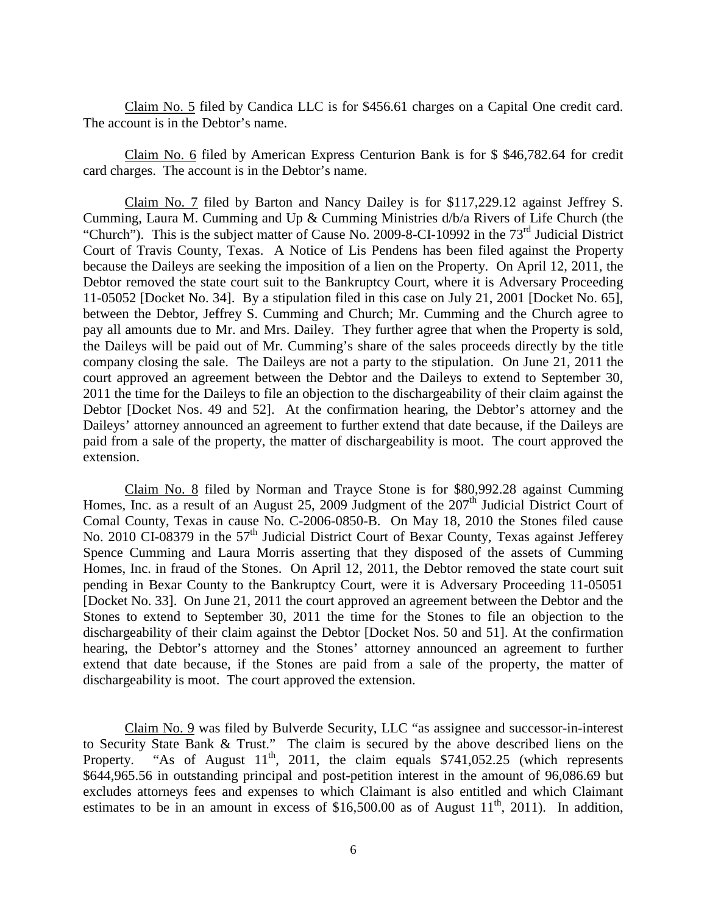Claim No. 5 filed by Candica LLC is for \$456.61 charges on a Capital One credit card. The account is in the Debtor's name.

Claim No. 6 filed by American Express Centurion Bank is for \$ \$46,782.64 for credit card charges. The account is in the Debtor's name.

Claim No. 7 filed by Barton and Nancy Dailey is for \$117,229.12 against Jeffrey S. Cumming, Laura M. Cumming and Up & Cumming Ministries d/b/a Rivers of Life Church (the "Church"). This is the subject matter of Cause No. 2009-8-CI-10992 in the  $73<sup>rd</sup>$  Judicial District Court of Travis County, Texas. A Notice of Lis Pendens has been filed against the Property because the Daileys are seeking the imposition of a lien on the Property. On April 12, 2011, the Debtor removed the state court suit to the Bankruptcy Court, where it is Adversary Proceeding 11-05052 [Docket No. 34]. By a stipulation filed in this case on July 21, 2001 [Docket No. 65], between the Debtor, Jeffrey S. Cumming and Church; Mr. Cumming and the Church agree to pay all amounts due to Mr. and Mrs. Dailey. They further agree that when the Property is sold, the Daileys will be paid out of Mr. Cumming's share of the sales proceeds directly by the title company closing the sale. The Daileys are not a party to the stipulation. On June 21, 2011 the court approved an agreement between the Debtor and the Daileys to extend to September 30, 2011 the time for the Daileys to file an objection to the dischargeability of their claim against the Debtor [Docket Nos. 49 and 52]. At the confirmation hearing, the Debtor's attorney and the Daileys' attorney announced an agreement to further extend that date because, if the Daileys are paid from a sale of the property, the matter of dischargeability is moot. The court approved the extension.

Claim No. 8 filed by Norman and Trayce Stone is for \$80,992.28 against Cumming Homes, Inc. as a result of an August 25, 2009 Judgment of the  $207<sup>th</sup>$  Judicial District Court of Comal County, Texas in cause No. C-2006-0850-B. On May 18, 2010 the Stones filed cause No. 2010 CI-08379 in the 57<sup>th</sup> Judicial District Court of Bexar County, Texas against Jefferey Spence Cumming and Laura Morris asserting that they disposed of the assets of Cumming Homes, Inc. in fraud of the Stones. On April 12, 2011, the Debtor removed the state court suit pending in Bexar County to the Bankruptcy Court, were it is Adversary Proceeding 11-05051 [Docket No. 33]. On June 21, 2011 the court approved an agreement between the Debtor and the Stones to extend to September 30, 2011 the time for the Stones to file an objection to the dischargeability of their claim against the Debtor [Docket Nos. 50 and 51]. At the confirmation hearing, the Debtor's attorney and the Stones' attorney announced an agreement to further extend that date because, if the Stones are paid from a sale of the property, the matter of dischargeability is moot. The court approved the extension.

Claim No. 9 was filed by Bulverde Security, LLC "as assignee and successor-in-interest to Security State Bank & Trust." The claim is secured by the above described liens on the Property. "As of August  $11<sup>th</sup>$ , 2011, the claim equals \$741,052.25 (which represents \$644,965.56 in outstanding principal and post-petition interest in the amount of 96,086.69 but excludes attorneys fees and expenses to which Claimant is also entitled and which Claimant estimates to be in an amount in excess of \$16,500.00 as of August  $11^{th}$ , 2011). In addition,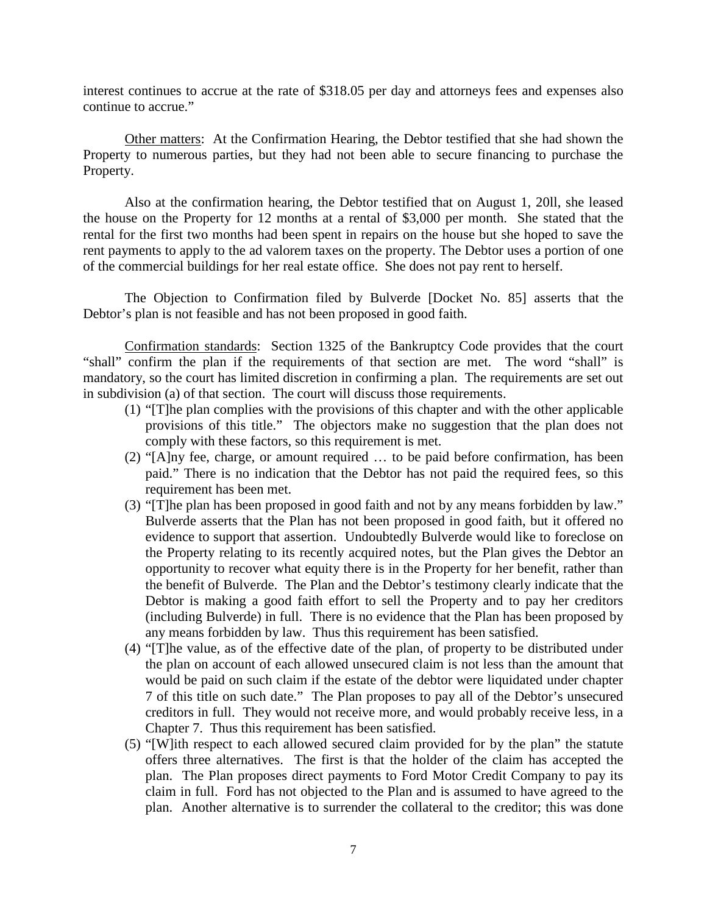interest continues to accrue at the rate of \$318.05 per day and attorneys fees and expenses also continue to accrue."

Other matters: At the Confirmation Hearing, the Debtor testified that she had shown the Property to numerous parties, but they had not been able to secure financing to purchase the Property.

Also at the confirmation hearing, the Debtor testified that on August 1, 20ll, she leased the house on the Property for 12 months at a rental of \$3,000 per month. She stated that the rental for the first two months had been spent in repairs on the house but she hoped to save the rent payments to apply to the ad valorem taxes on the property. The Debtor uses a portion of one of the commercial buildings for her real estate office. She does not pay rent to herself.

The Objection to Confirmation filed by Bulverde [Docket No. 85] asserts that the Debtor's plan is not feasible and has not been proposed in good faith.

Confirmation standards: Section 1325 of the Bankruptcy Code provides that the court "shall" confirm the plan if the requirements of that section are met. The word "shall" is mandatory, so the court has limited discretion in confirming a plan. The requirements are set out in subdivision (a) of that section. The court will discuss those requirements.

- (1) "[T]he plan complies with the provisions of this chapter and with the other applicable provisions of this title." The objectors make no suggestion that the plan does not comply with these factors, so this requirement is met.
- (2) "[A]ny fee, charge, or amount required … to be paid before confirmation, has been paid." There is no indication that the Debtor has not paid the required fees, so this requirement has been met.
- (3) "[T]he plan has been proposed in good faith and not by any means forbidden by law." Bulverde asserts that the Plan has not been proposed in good faith, but it offered no evidence to support that assertion. Undoubtedly Bulverde would like to foreclose on the Property relating to its recently acquired notes, but the Plan gives the Debtor an opportunity to recover what equity there is in the Property for her benefit, rather than the benefit of Bulverde. The Plan and the Debtor's testimony clearly indicate that the Debtor is making a good faith effort to sell the Property and to pay her creditors (including Bulverde) in full. There is no evidence that the Plan has been proposed by any means forbidden by law. Thus this requirement has been satisfied.
- (4) "[T]he value, as of the effective date of the plan, of property to be distributed under the plan on account of each allowed unsecured claim is not less than the amount that would be paid on such claim if the estate of the debtor were liquidated under chapter 7 of this title on such date." The Plan proposes to pay all of the Debtor's unsecured creditors in full. They would not receive more, and would probably receive less, in a Chapter 7. Thus this requirement has been satisfied.
- (5) "[W]ith respect to each allowed secured claim provided for by the plan" the statute offers three alternatives. The first is that the holder of the claim has accepted the plan. The Plan proposes direct payments to Ford Motor Credit Company to pay its claim in full. Ford has not objected to the Plan and is assumed to have agreed to the plan. Another alternative is to surrender the collateral to the creditor; this was done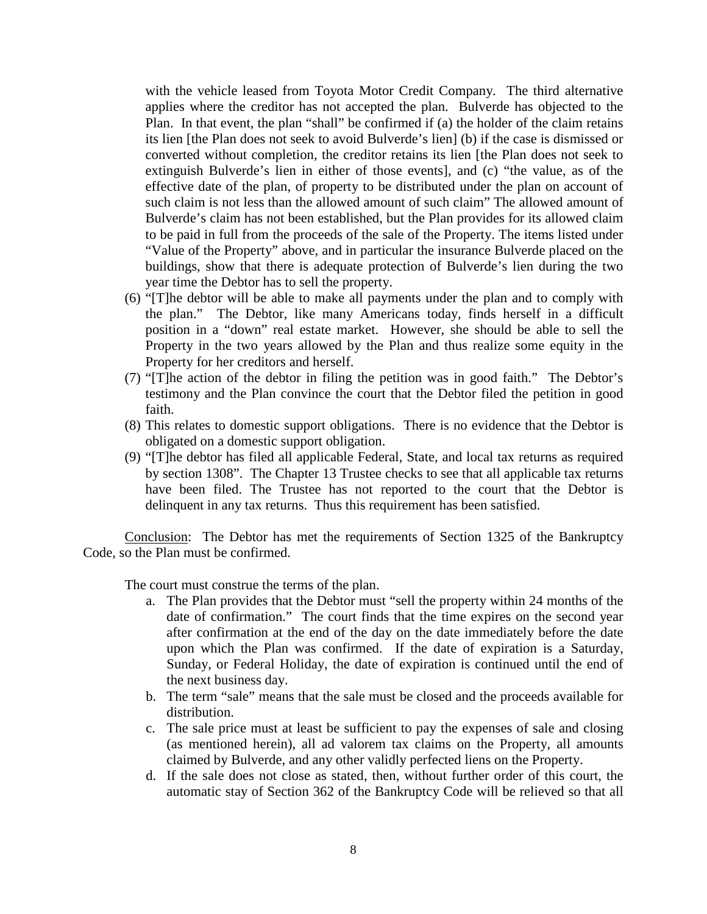with the vehicle leased from Toyota Motor Credit Company. The third alternative applies where the creditor has not accepted the plan. Bulverde has objected to the Plan. In that event, the plan "shall" be confirmed if (a) the holder of the claim retains its lien [the Plan does not seek to avoid Bulverde's lien] (b) if the case is dismissed or converted without completion, the creditor retains its lien [the Plan does not seek to extinguish Bulverde's lien in either of those events], and (c) "the value, as of the effective date of the plan, of property to be distributed under the plan on account of such claim is not less than the allowed amount of such claim" The allowed amount of Bulverde's claim has not been established, but the Plan provides for its allowed claim to be paid in full from the proceeds of the sale of the Property. The items listed under "Value of the Property" above, and in particular the insurance Bulverde placed on the buildings, show that there is adequate protection of Bulverde's lien during the two year time the Debtor has to sell the property.

- (6) "[T]he debtor will be able to make all payments under the plan and to comply with the plan." The Debtor, like many Americans today, finds herself in a difficult position in a "down" real estate market. However, she should be able to sell the Property in the two years allowed by the Plan and thus realize some equity in the Property for her creditors and herself.
- (7) "[T]he action of the debtor in filing the petition was in good faith." The Debtor's testimony and the Plan convince the court that the Debtor filed the petition in good faith.
- (8) This relates to domestic support obligations. There is no evidence that the Debtor is obligated on a domestic support obligation.
- (9) "[T]he debtor has filed all applicable Federal, State, and local tax returns as required by section 1308". The Chapter 13 Trustee checks to see that all applicable tax returns have been filed. The Trustee has not reported to the court that the Debtor is delinquent in any tax returns. Thus this requirement has been satisfied.

Conclusion: The Debtor has met the requirements of Section 1325 of the Bankruptcy Code, so the Plan must be confirmed.

The court must construe the terms of the plan.

- a. The Plan provides that the Debtor must "sell the property within 24 months of the date of confirmation." The court finds that the time expires on the second year after confirmation at the end of the day on the date immediately before the date upon which the Plan was confirmed. If the date of expiration is a Saturday, Sunday, or Federal Holiday, the date of expiration is continued until the end of the next business day.
- b. The term "sale" means that the sale must be closed and the proceeds available for distribution.
- c. The sale price must at least be sufficient to pay the expenses of sale and closing (as mentioned herein), all ad valorem tax claims on the Property, all amounts claimed by Bulverde, and any other validly perfected liens on the Property.
- d. If the sale does not close as stated, then, without further order of this court, the automatic stay of Section 362 of the Bankruptcy Code will be relieved so that all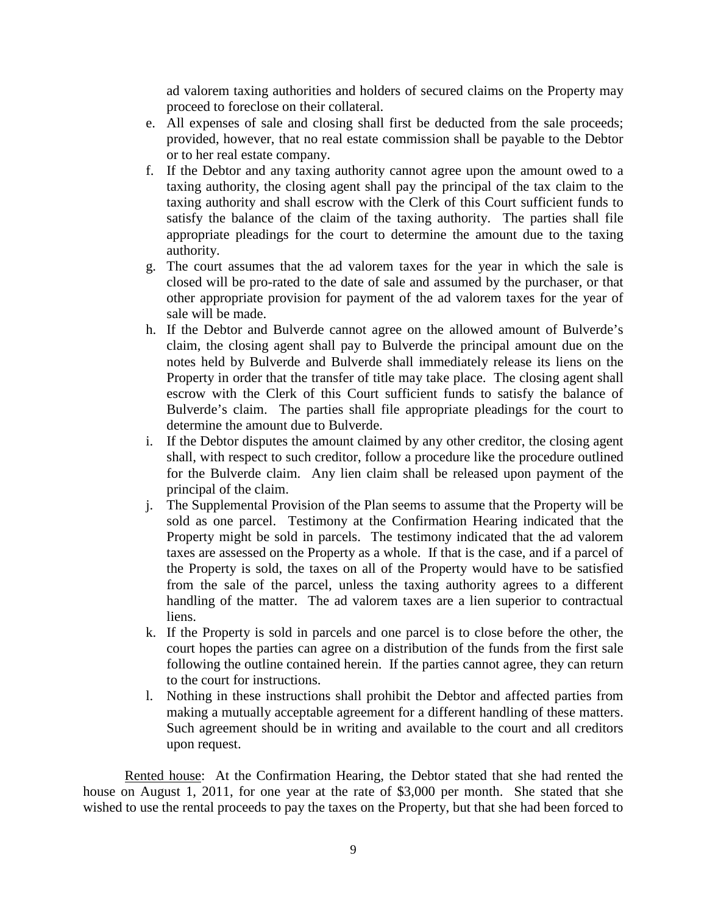ad valorem taxing authorities and holders of secured claims on the Property may proceed to foreclose on their collateral.

- e. All expenses of sale and closing shall first be deducted from the sale proceeds; provided, however, that no real estate commission shall be payable to the Debtor or to her real estate company.
- f. If the Debtor and any taxing authority cannot agree upon the amount owed to a taxing authority, the closing agent shall pay the principal of the tax claim to the taxing authority and shall escrow with the Clerk of this Court sufficient funds to satisfy the balance of the claim of the taxing authority. The parties shall file appropriate pleadings for the court to determine the amount due to the taxing authority.
- g. The court assumes that the ad valorem taxes for the year in which the sale is closed will be pro-rated to the date of sale and assumed by the purchaser, or that other appropriate provision for payment of the ad valorem taxes for the year of sale will be made.
- h. If the Debtor and Bulverde cannot agree on the allowed amount of Bulverde's claim, the closing agent shall pay to Bulverde the principal amount due on the notes held by Bulverde and Bulverde shall immediately release its liens on the Property in order that the transfer of title may take place. The closing agent shall escrow with the Clerk of this Court sufficient funds to satisfy the balance of Bulverde's claim. The parties shall file appropriate pleadings for the court to determine the amount due to Bulverde.
- i. If the Debtor disputes the amount claimed by any other creditor, the closing agent shall, with respect to such creditor, follow a procedure like the procedure outlined for the Bulverde claim. Any lien claim shall be released upon payment of the principal of the claim.
- j. The Supplemental Provision of the Plan seems to assume that the Property will be sold as one parcel. Testimony at the Confirmation Hearing indicated that the Property might be sold in parcels. The testimony indicated that the ad valorem taxes are assessed on the Property as a whole. If that is the case, and if a parcel of the Property is sold, the taxes on all of the Property would have to be satisfied from the sale of the parcel, unless the taxing authority agrees to a different handling of the matter. The ad valorem taxes are a lien superior to contractual liens.
- k. If the Property is sold in parcels and one parcel is to close before the other, the court hopes the parties can agree on a distribution of the funds from the first sale following the outline contained herein. If the parties cannot agree, they can return to the court for instructions.
- l. Nothing in these instructions shall prohibit the Debtor and affected parties from making a mutually acceptable agreement for a different handling of these matters. Such agreement should be in writing and available to the court and all creditors upon request.

Rented house: At the Confirmation Hearing, the Debtor stated that she had rented the house on August 1, 2011, for one year at the rate of \$3,000 per month. She stated that she wished to use the rental proceeds to pay the taxes on the Property, but that she had been forced to